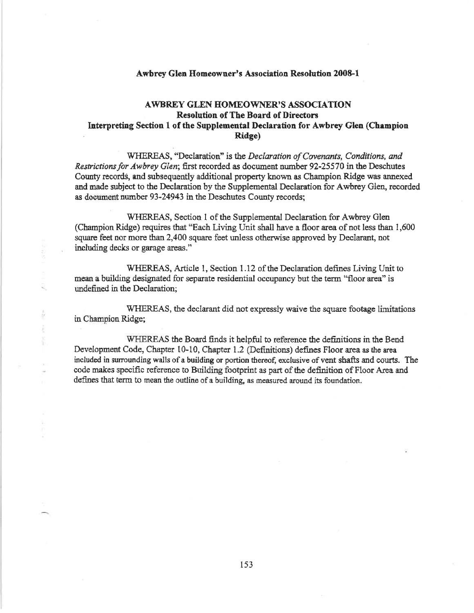## **Awbrey Glen Homeowner's Association Resolution 2008-1**

## **AWBREY GLEN HOMEOWNER'S ASSOCIATION Resolution of The Board of Directors** Interpreting Section 1 of the Supplemental Declaration for Awbrey Glen (Champion **Ridge**)

WHEREAS, "Declaration" is the Declaration of Covenants, Conditions, and Restrictions for Awbrey Glen; first recorded as document number 92-25570 in the Deschutes County records, and subsequently additional property known as Champion Ridge was annexed and made subject to the Declaration by the Supplemental Declaration for Awbrey Glen, recorded as document number 93-24943 in the Deschutes County records;

WHEREAS, Section 1 of the Supplemental Declaration for Awbrey Glen (Champion Ridge) requires that "Each Living Unit shall have a floor area of not less than 1,600 square feet nor more than 2,400 square feet unless otherwise approved by Declarant, not including decks or garage areas."

WHEREAS, Article 1, Section 1.12 of the Declaration defines Living Unit to mean a building designated for separate residential occupancy but the term "floor area" is undefined in the Declaration;

WHEREAS, the declarant did not expressly waive the square footage limitations in Champion Ridge;

WHEREAS the Board finds it helpful to reference the definitions in the Bend Development Code, Chapter 10-10, Chapter 1.2 (Definitions) defines Floor area as the area included in surrounding walls of a building or portion thereof, exclusive of vent shafts and courts. The code makes specific reference to Building footprint as part of the definition of Floor Area and defines that term to mean the outline of a building, as measured around its foundation.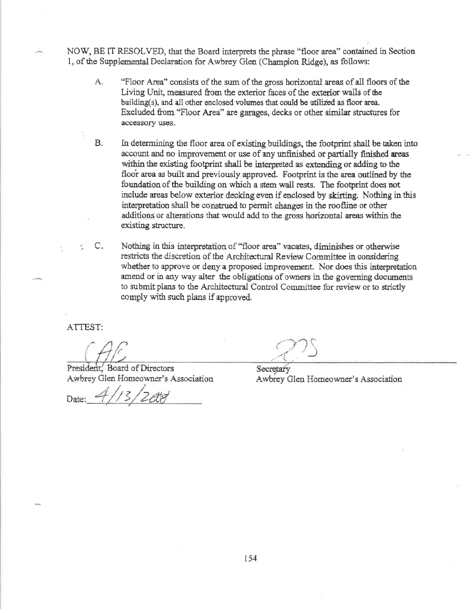NOW, BE IT RESOLVED, that the Board interprets the phrase "floor area" contained in Section 1, of the Supplemental Declaration for Awbrey Glen (Champion Ridge), as follows:

- A. "Floor Area" consists of the sum of the gross horizontal areas of all floors of the Living Unit, measured from the exterior faces of the exterior walls of the building(s), and all other enclosed volumes that could be utilized as floor area. Excluded from "Floor Area" are garages, decks or other similar structures for accessory uses.
- **B.** In determining the floor area of existing buildings, the footprint shall be taken into account and no improvement or use of any unfinished or partially finished areas within the existing footprint shall be interpreted as extending or adding to the floor area as built and previously approved. Footprint is the area outlined by the foundation of the building on which a stem wall rests. The footprint does not include areas below exterior decking even if enclosed by skirting. Nothing in this interpretation shall be construed to permit changes in the roofline or other additions or alterations that would add to the gross horizontal areas within the existing structure.
- $C_{\rm c}$ Nothing in this interpretation of "floor area" vacates, diminishes or otherwise restricts the discretion of the Architectural Review Committee in considering whether to approve or deny a proposed improvement. Nor does this interpretation amend or in any way alter the obligations of owners in the governing documents to submit plans to the Architectural Control Committee for review or to strictly comply with such plans if approved.

ATTEST:

President, Board of Directors Awbrey Glen Homeowner's Association

Secretary Awbrey Glen Homeowner's Association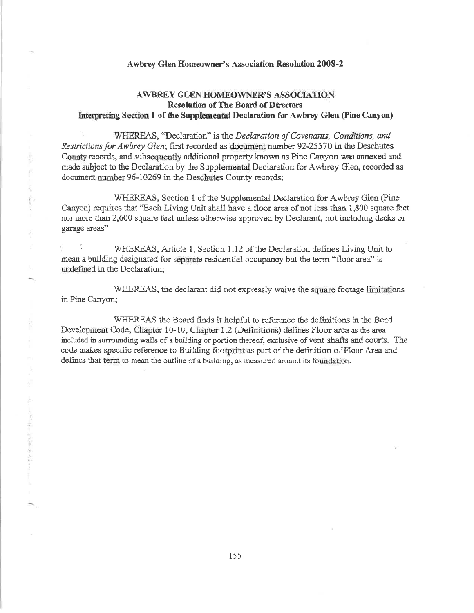## Awbrey Glen Homeowner's Association Resolution 2008-2

## **AWBREY GLEN HOMEOWNER'S ASSOCIATION Resolution of The Board of Directors** Interpreting Section 1 of the Supplemental Declaration for Awbrey Glen (Pine Canyon)

WHEREAS, "Declaration" is the Declaration of Covenants, Conditions, and Restrictions for Awbrey Glen; first recorded as document number 92-25570 in the Deschutes County records, and subsequently additional property known as Pine Canyon was annexed and made subject to the Declaration by the Supplemental Declaration for Awbrey Glen, recorded as document number 96-10269 in the Deschutes County records;

WHEREAS, Section 1 of the Supplemental Declaration for Awbrey Glen (Pine) Canyon) requires that "Each Living Unit shall have a floor area of not less than 1,800 square feet nor more than 2,600 square feet unless otherwise approved by Declarant, not including decks or garage areas"

WHEREAS, Article 1, Section 1.12 of the Declaration defines Living Unit to mean a building designated for separate residential occupancy but the term "floor area" is undefined in the Declaration;

WHEREAS, the declarant did not expressly waive the square footage limitations in Pine Canyon;

WHEREAS the Board finds it helpful to reference the definitions in the Bend Development Code, Chapter 10-10, Chapter 1.2 (Definitions) defines Floor area as the area included in surrounding walls of a building or portion thereof, exclusive of vent shafts and courts. The code makes specific reference to Building footprint as part of the definition of Floor Area and defines that term to mean the outline of a building, as measured around its foundation.

大學 医牙科皮革 医心理学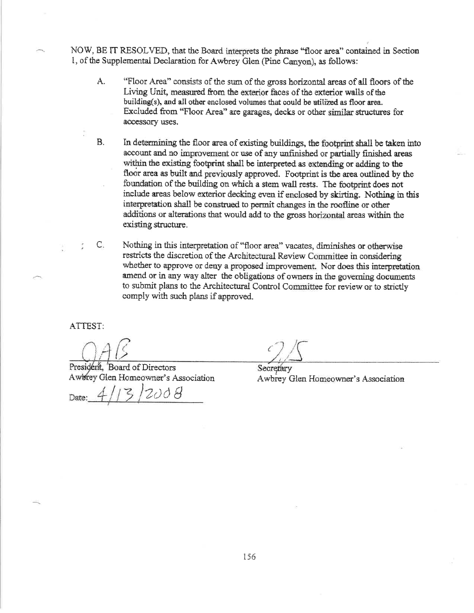NOW, BE IT RESOLVED, that the Board interprets the phrase "floor area" contained in Section 1, of the Supplemental Declaration for Awbrey Glen (Pine Canyon), as follows:

- A. "Floor Area" consists of the sum of the gross horizontal areas of all floors of the Living Unit, measured from the exterior faces of the exterior walls of the building(s), and all other enclosed volumes that could be utilized as floor area. Excluded from "Floor Area" are garages, decks or other similar structures for accessory uses.
- **B.** In determining the floor area of existing buildings, the footprint shall be taken into account and no improvement or use of any unfinished or partially finished areas within the existing footprint shall be interpreted as extending or adding to the floor area as built and previously approved. Footprint is the area outlined by the foundation of the building on which a stem wall rests. The footprint does not include areas below exterior decking even if enclosed by skirting. Nothing in this interpretation shall be construed to permit changes in the roofline or other additions or alterations that would add to the gross horizontal areas within the existing structure.
	- Nothing in this interpretation of "floor area" vacates, diminishes or otherwise restricts the discretion of the Architectural Review Committee in considering whether to approve or deny a proposed improvement. Nor does this interpretation amend or in any way alter the obligations of owners in the governing documents to submit plans to the Architectural Control Committee for review or to strictly comply with such plans if approved.

ATTEST:

 $C_{1}$ 

President, 'Board of Directors Awbrey Glen Homeowner's Association

Secretary Awbrey Glen Homeowner's Association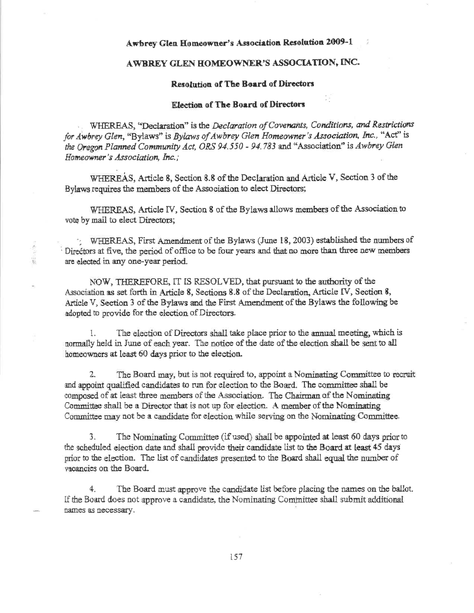## Awbrey Glen Homeowner's Association Resolution 2009-1

## AWBREY GLEN HOMEOWNER'S ASSOCIATION, INC.

## **Resolution of The Board of Directors**

## **Election of The Board of Directors**

WHEREAS, "Declaration" is the Declaration of Covenants, Conditions, and Restrictions for Awbrey Glen, "Bylaws" is Bylaws of Awbrey Glen Homeowner's Association, Inc., "Act" is the Oregon Planned Community Act, ORS 94.550 - 94.783 and "Association" is Awbrey Glen Homeowner's Association, Inc.;

WHEREAS, Article 8, Section 8.8 of the Declaration and Article V, Section 3 of the Bylaws requires the members of the Association to elect Directors;

WHEREAS, Article IV, Section 8 of the Bylaws allows members of the Association to vote by mail to elect Directors;

WHEREAS, First Amendment of the Bylaws (June 18, 2003) established the numbers of Directors at five, the period of office to be four years and that no more than three new members are elected in any one-year period.

NOW, THEREFORE, IT IS RESOLVED, that pursuant to the authority of the Association as set forth in Article 8, Sections 8.8 of the Declaration, Article IV, Section 8, Article V, Section 3 of the Bylaws and the First Amendment of the Bylaws the following be adopted to provide for the election of Directors.

纂

The election of Directors shall take place prior to the annual meeting, which is 1. normally held in June of each year. The notice of the date of the election shall be sent to all homeowners at least 60 days prior to the election.

The Board may, but is not required to, appoint a Nominating Committee to recruit  $2.$ and appoint qualified candidates to run for election to the Board. The committee shall be composed of at least three members of the Association. The Chairman of the Nominating Committee shall be a Director that is not up for election. A member of the Nominating Committee may not be a candidate for election while serving on the Nominating Committee.

The Nominating Committee (if used) shall be appointed at least 60 days prior to 3. the scheduled election date and shall provide their candidate list to the Board at least 45 days prior to the election. The list of candidates presented to the Board shall equal the number of vacancies on the Board.

The Board must approve the candidate list before placing the names on the ballot. 4. If the Board does not approve a candidate, the Nominating Committee shall submit additional names as necessary.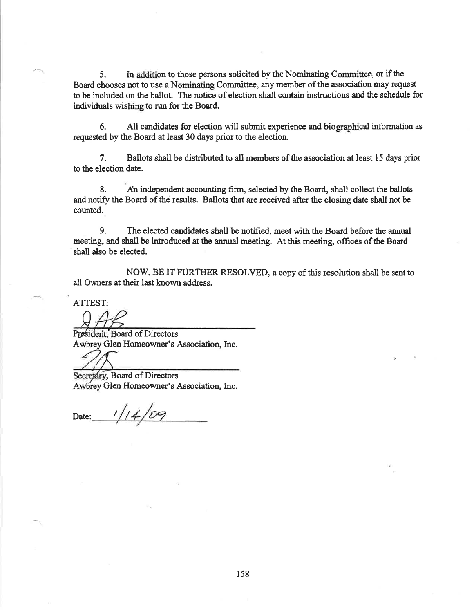$5<sub>1</sub>$ In addition to those persons solicited by the Nominating Committee, or if the Board chooses not to use a Nominating Committee, any member of the association may request to be included on the ballot. The notice of election shall contain instructions and the schedule for individuals wishing to run for the Board.

6. All candidates for election will submit experience and biographical information as requested by the Board at least 30 days prior to the election.

 $7<sub>1</sub>$ Ballots shall be distributed to all members of the association at least 15 days prior to the election date.

An independent accounting firm, selected by the Board, shall collect the ballots 8. and notify the Board of the results. Ballots that are received after the closing date shall not be counted.

9. The elected candidates shall be notified, meet with the Board before the annual meeting, and shall be introduced at the annual meeting. At this meeting, offices of the Board shall also be elected.

NOW, BE IT FURTHER RESOLVED, a copy of this resolution shall be sent to all Owners at their last known address.

ATTEST:

President, Board of Directors Awbrey Glen Homeowner's Association, Inc.

Secretary, Board of Directors

Awbrey Glen Homeowner's Association, Inc.

Date: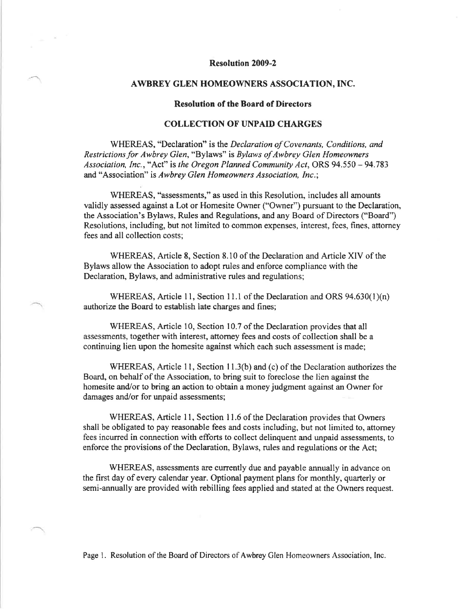## Resolution 2009-2

#### AWBREY GLEN HOMEOWNERS ASSOCIATION, INC.

## Resolution of the Board of Directors

## COLLECTION OF UNPAID CHARGES

WHEREAS, "Declaration" is the Declaration of Covenants, Conditions, and Restrictions for Awbrey Glen, "Bylaws" is Bylaws of Awbrey Glen Homeowners Association, Inc., "Act" is the Oregon Planned Community Act, ORS  $94.550 - 94.783$ and "Association" is Awbrey Glen Homeowners Association, Inc.:

WHEREAS, "assessments," as used in this Resolution, includes all amounts validly assessed against a Lot or Homesite Owner ("Owner") pursuant to the Declaration, the Association's Bylaws, Rules and Regulations, and any Board of Directors ("Board") Resolutions, including, but not limited to common expenses, interest, fees, fines, attomey fees and all collection costs;

WHEREAS, Article 8, Section 8.10 of the Declaration and Article XIV of the Bylaws allow the Association to adopt rules and enforce compliance with the Declaration, Bylaws, and administrative rules and regulations;

WHEREAS, Article 11, Section 11.1 of the Declaration and ORS  $94.630(1)(n)$ authorize the Board to establish late charges and fines;

WHEREAS, Article 10, Section 10.7 of the Declaration provides that all assessments, together with interest, attomey fees and costs of collection shall be a continuing lien upon the homesite against which each such assessment is made;

WHEREAS, Article 11, Section 11.3(b) and (c) of the Declaration authorizes the Board, on behalf of the Association, to bring suit to foreclose the lien against the homesite and/or to bring an action to obtain a money judgment against an Owner for damages and/or for unpaid assessments;

WHEREAS, Article 11, Section 11.6 of the Declaration provides that Owners shall be obligated to pay reasonable fees and costs including, but not limited to, attomey fees incurred in connection with efforts to collect delinquent and unpaid assessments, to enforce the provisions of the Declaration, Bylaws, rules and regulations or the Act;

WHEREAS, assessments are currently due and payable annually in advance on the first day of every calendar year. Optional payment plans for monthly, quarterly or semi-annually are provided with rebilling fees applied and stated at the Owners request.

Page 1. Resolution of the Board of Directors of Awbrey Glen Homeowners Association, Inc.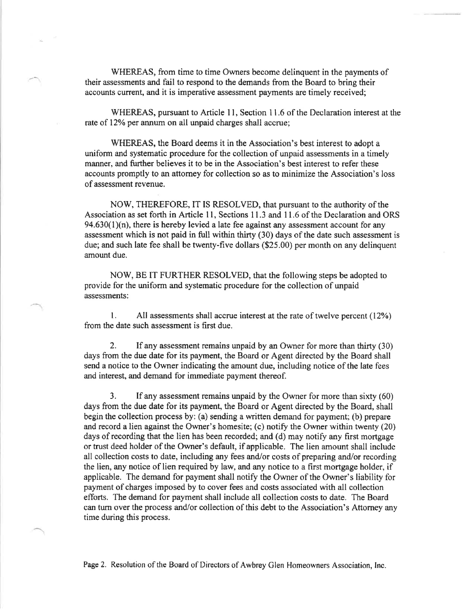WHEREAS, from time to time Owners become delinquent in the payments of their assessments and fail to respond to the demands from the Board to bring their accounts current, and it is imperative assessment payments are timely received;

WHEREAS, pursuant to Article 11, Section 11.6 of the Declaration interest at the rate of 12% per annum on all unpaid charges shall accrue;

WHEREAS, the Board deems it in the Association's best interest to adopt a uniform and systematic procedure for the collection of unpaid assessments in a timely manner, and further believes it to be in the Association's best interest to refer these accounts promptly to an attomey for collection so as to minimize the Association's loss of assessment revenue.

NOW, THEREFORE,IT IS RESOLVED, that pursuant to the authority of the Association as set forth in Article 11, Sections 11.3 and 11.6 of the Declaration and ORS  $94.630(1)(n)$ , there is hereby levied a late fee against any assessment account for any assessment which is not paid in full within thirty (30) days of the date such assessment is due; and such late fee shall be twenty-five dollars (\$25.00) per month on any delinquent amount due.

NOW, BE IT FURTHER RESOLVED, that the following steps be adopted to provide for the uniform and systematic procedure for the collection of unpaid assessments:

1. All assessments shall accrue interest at the rate of twelve percent (12%) from the date such assessment is first due.

2. If any assessment remains unpaid by an Owner for more than thirty (30) days from the due date for its payment, the Board or Agent directed by the Board shall send a notice to the Owner indicating the amount due, including notice of the late fees and interest, and demand for immediate payment thereof.

3. If any assessment remains unpaid by the Owner for more than sixty (60) days from the due date for its payment, the Board or Agent directed by the Board, shall begin the collection process by: (a) sending a written demand for payment; (b) prepare and record a lien against the Owner's homesite; (c) notify the Owner within twenty  $(20)$ days of recording that the lien has been recorded; and (d) may notify any first mortgage or trust deed holder of the Owner's default, if applicable. The lien amount shall include all collection costs to date, including any fees and/or costs of preparing and/or recording the lien, any notice of lien required by law, and any notice to a first mortgage holder, if applicable. The demand for payment shall notify the Owner of the Owner's liability for payment of charges imposed by to cover fees and costs associated with all collection efforts. The demand for payment shall include all collection costs to date. The Board can turn over the process and/or collection of this debt to the Association's Attorney any time during this process.

Page 2. Resolution of the Board of Directors of Awbrey Glen Homeowners Association, Inc.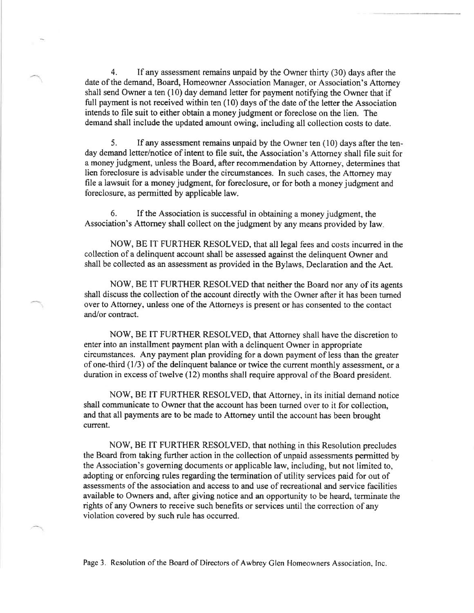4. If any assessment remains unpaid by the Owner thirty (30) days after the date of the demand, Board, Homeowner Association Manager, or Association's Attomey shall send Owner a ten  $(10)$  day demand letter for payment notifying the Owner that if full payment is not received within ten (10) days of the date of the letter the Association intends to file suit to either obtain a money judgment or foreclose on the lien. The demand shall include the updated amount owing, including all collection costs to date.

5. If any assessment remains unpaid by the Owner ten (10) days after the tenday demand letter/notice of intent to file suit, the Association's Attorney shall file suit for <sup>a</sup>money judgment, unless the Board, after recommendation by Attomey, determines that lien foreclosure is advisable under the circumstances. In such cases, the Attomey may file a lawsuit for a money judgment, for foreclosure, or for both a money judgment and foreclosure, as permitted by applicable law.

6. If the Association is successful in obtaining a money judgment, the Association's Attorney shall collect on the judgment by any means provided by law

NOW, BE IT FURTHER RESOLVED, that all legal fees and costs incurred in the collection of a delinquent account shall be assessed against the delinquent Owner and shall be collected as an assessment as provided in the Bylaws, Declaration and the Act.

NOW, BE IT FURTHER RESOLVED that neither the Board nor any of its agents shall discuss the collection of the account directly with the Owner after it has been tumed over to Attorney, unless one of the Attomeys is present or has consented to the contact and/or contract.

NOW, BE IT FURTHER RESOLVED, that Attorney shall have the discretion to enter into an installment payment plan with a delinquent Owner in appropriate circumstances. Any payment plan providing for a down payment of less than the greater of one-third (1/3) of the delinquent balance or twice the current monthly assessment, or a duration in excess of twelve (12) months shall require approval of the Board president.

NOW, BE IT FURTHER RESOLVED, that Attorney, in its initial demand notice shall communicate to Owner that the account has been turned over to it for collection, and that all payments are to be made to Attomey until the account has been brought current.

NOW, BE IT FURTHER RESOLVED, that nothing in this Resolution precludes the Board from taking further action in the collection of unpaid assessments permitted by the Association's goveming documents or applicable law, including, but not limited to, adopting or enforcing rules regarding the termination of utility services paid for out of assessments of the association and access to and use of recreational and service facilities available to Owners and, after giving notice and an opportunity to be heard, terminate the rights of any Owners to receive such benefits or services until the conection of any violation covered by such rule has occurred.

Page3. Resolution of the Board of Directors of Awbrey Glen Homeowners Association, Inc.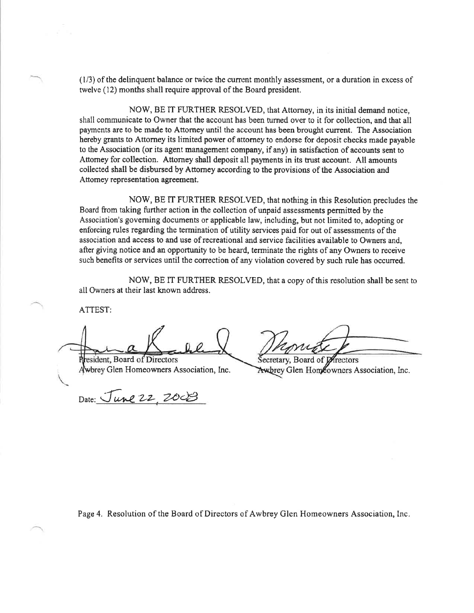$(1/3)$  of the delinquent balance or twice the current monthly assessment, or a duration in excess of twelve (12) months shall require approval of the Board president.

NOW, BE IT FURTHER RESOLVED, that Attorney, in its initial demand notice, shall communicate to Owner that the account has been turned over to it for collection, and that all payments are to be made to Attorney until the account has been brought current. The Association hereby grants to Attorney its limited power of attorney to endorse for deposit checks made payable to the Association (or its agent manâgement company, if any) in satisfaction of accounts sent to Attomey for collection. Attorney shall deposit all payments in its trust account. All amounts collected shall be disbursed by Attorney according to the provisions of the Association and Attomey representation agreement.

NOW, BE IT FURTHER RESOLVED, that nothing in this Resolution precludes the Board from taking further action in the collection of unpaid assessments permitted by the Association's goveming documents or applicable law, including, but not limited to, adopting or enforcing rules regarding the termination of utility services paid for out of assessments of the association and access to and use of recreational and service facilities available to Owners and, after giving notice and an opportunity to be heard, terminate the rights of any Owners to receive such benefits or services until the correction of any violation covered by such rule has occuned.

NOW, BE IT FURTHER RESOLVED, that a copy of this resolution shall be sent to all Owners at their last known address.

ATTEST:

Resident, Board of Directors<br>Awbrey Glen Homeowners Association, Inc. Awbrey Glen Homeowners A

Date: June 22, 200

Awbrey Glen Homeowners Association, Inc.

Page 4. Resolution of the Board of Directors of Awbrey Glen Homeowners Association, Inc.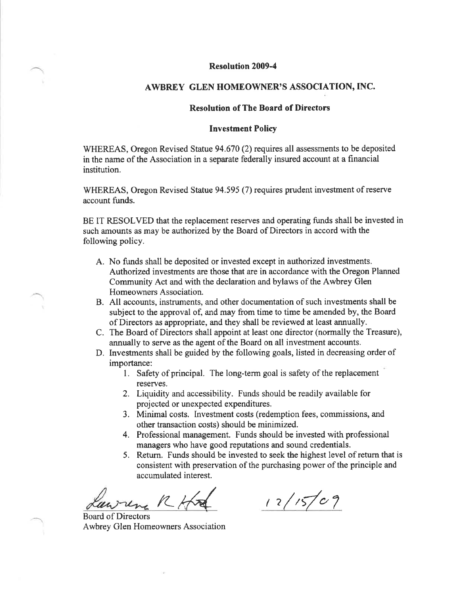## Resolution 2009-4

## AWBREY GLEN HOMEOWNER'S ASSOCIATION, INC.

## **Resolution of The Board of Directors**

#### Investment Policy

WHEREAS, Oregon Revised Statue 94.670 (2) requires all assessments to be deposited in the name of the Association in a separate federally insured account at a financial institution.

WHEREAS, Oregon Revised Statue 94.595 (7) requires prudent investment of reserve account funds.

BE IT RESOLVED that the replacement reserves and operating funds shall be invested in such amounts as may be authorized by the Board of Directors in accord with the following policy.

- A, No funds shall be deposited or invested except in authorized investments. Authorized investments are those that are in accordance with the Oregon Planned Community Act and with the declaration and bylaws of the Awbrey Glen Homeowners Association.
- B. All accounts, instruments, and other documentation of such investments shall be subject to the approval of, and may from time to time be amended by, the Board of Directors as appropriate, and they shall be reviewed at least annually.
- C. The Board of Directors shall appoint at least one director (normally the Treasure), annually to serve as the agent of the Board on all investment accounts.
- D. Investments shall be guided by the following goals, listed in decreasing order of importance:
	- l. Safety of principal. The long-term goal is safety of the replacement reserves.
	- 2. Liquidity and accessibility. Funds should be readily available for projected or unexpected expenditures.
	- 3. Minimal costs. Investment costs (redemption fees, commissions, and other transaction costs) should be minimized.
	- 4. Professional management. Funds should be invested with professional managers who have good reputations and sound credentials.
	- 5. Return. Funds should be invested to seek the highest level of return that is consistent with preservation of the purchasing power of the principle and accumulated interest.

 $R+x4 = 12/15/09$ 

Board of Directors Awbrey Glen Homeowners Association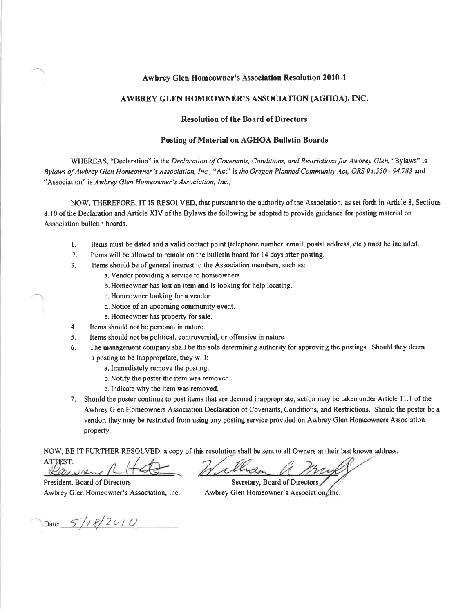#### Awbrey Glen Homeowner's Association Resolution 2010-l

## AWBREY GLEN HOMEOWNER'S ASSOCIATTON (AGHOA), INC.

### Resolution of the Board of Directors

#### Posting of Mnterial on AGHOA Bulletin Boards

WHEREAS, "Declaration" is the Declaration of Covenants, Conditions, and Restrictions for Awbrey Glen, "Bylaws" is Bylaws of Awbrey Glen Homeowner's Association, Inc., "Act" is the Oregon Planned Community Act, ORS 94.550 - 94.783 and "Association" is Awbrey Glen Homeowner's Association, Inc.;

NOW, THEREFORE, IT IS RESOLVED, that pursuant to the authority of the Association, as set forth in Article 8, Sections 8.10 of the Declaration and Article XIV of the Bylaws the following be adopted to provide guidance for posting material on Association bulletin boards.

- l. Items must be dated and a valid contact point (telephone number, email, postal address, etc.) must be included.
- 2. Items will be allowed to remain on the bulletin board for 14 days after posting.
- 3. ltems should be of general interest to the Association members, such as:
	- a. Vendor providing a service to homeowners.
	- b. Homeowner has lost an item and is looking for help locating.
	- c. Homeowner looking for a vendor.
	- d.Notice of an upcoming community event.
	- e. Homeowner has property for sale.
- 4. Items should not be personal in nature.
- 5. Items should not be political, controversial, or offensive in nature.
- 6. The management company shall be the sole determining authority for approving the postings. Should they deem a posting to be inappropriate, they will:
	- a. Immediately remove the posting.
	- b.Notify the poster the item was removed.
	- c. Indicate why the item was removed.
- 7. Should the poster continue to post items that are deemed inappropriate, action may be taken under Article I l.l of the Awbrey Glen Homeowners Association Declaration of Covenants, Conditions, and Restrictions. Should the poster be a vendor, they may be restricted from using any posting service provided on Awbrey Glen Homeowners Association property.

NOW, BE IT FURTHER RESOLVED, a copy of this resolution shall be sent to all Owners at their last known address.

**ATTEST:** Consiner

Hilliam

President, Board of Directors Awbrey Glen Homeowner's Association, Inc.

Secretary, Board of Directors Awbrey Glen Homeowner's Association (Inc.

Date:  $5/18/2010$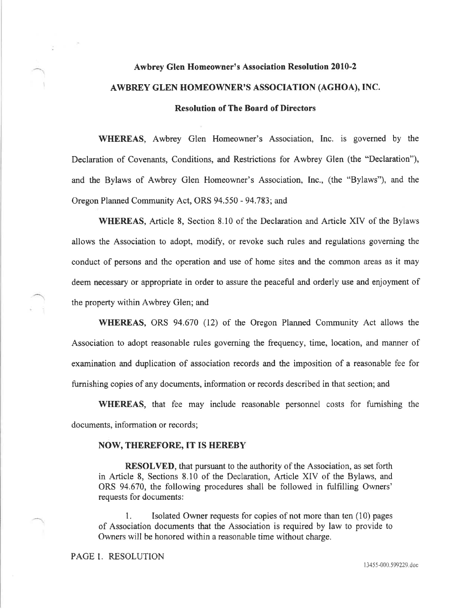# Awbrey Glen Homeowner's Association Resolution 2010-2 AWBREY GLEN HOMEOWNER'S ASSOCIATION (AGHOA), INC. Resolution of The Board of Directors

WHEREAS, Awbrey Glen Homeowner's Association, Inc. is governed by the Declaration of Covenants, Conditions, and Restrictions for Awbrey Glen (the "Declaration"), and the Bylaws of Awbrey Glen Homeowner's Association, Inc., (the "Bylaws"), and the Oregon Planned Community Act, ORS 94.550 - 94.783; and

WHEREAS, Article 8, Section 8.10 of the Declaration and Article XIV of the Bylaws allows the Association to adopt, modify, or revoke such rules and regulations governing the conduct of persons and the operation and use of home sites and the common areas as it may deem necessary or appropriate in order to assure the peaceful and orderly use and enjoyment of the property within Awbrey Glen; and

\ryHEREAS, ORS 94.670 (12) of the Oregon Planned Community Act allows the Association to adopt reasonable rules governing the frequency, time, location, and manner of examination and duplication of association records and the imposition of a reasonable fee for fumishing copies of âny documents, information or records described in that section; and

WHEREAS, that fee may include reasonable personnel costs for fumishing the documents, information or records;

#### NOW, THEREFORE, IT IS HEREBY

RESOLVED, that pursuant to the authority of the Association, as set forth in Article 8, Sections 8.10 of the Declaration, Article XIV of the Bylaws, and ORS 94,670, the following procedures shall be followed in fulfilling Owners' requests for documents:

1. Isolated Owner requests for copies of not more than ten (10) pages of Association documents that lhe Association is required by law to provide to Owners witl be honored within a reasonable time without charge.

PAGE 1. RESOLUTION

13455-000.599229.doc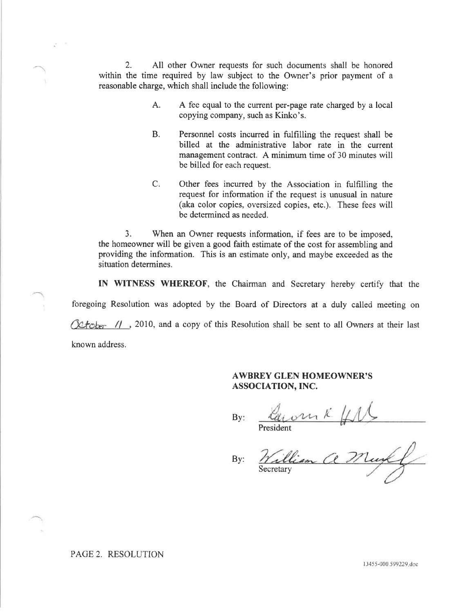2. All other Owner requests for such documents shall be honored within the time required by law subject to the Owner's prior payment of <sup>a</sup> reasonable charge, which shall include the following:

- A fee equal to the current per-page rate charged by a local copying company, such as Kinko's. A.
- Personnel costs incurred in fulfilling the request shall be billed at the administrative labor rate in the current management contract. A minimum time of 30 minutes will be billed for each request. B.
- C. Other fees incurred by the Association in fulfilling the request for information if the request is unusual in nature (aka color copies, oversized copies, etc.). These fees will be determined as needed.

3. When an Owner requests information, if fees are to be imposed, the homeowner will be given a good faith estimate of the cost for assembling and providing the information. This is an estimate only, and maybe exceeded as the situation determines.

IN WITNESS WHEREOF, the Chairman and Secretary hereby certify that the

foregoing Resolution was adopted by the Board of Directors at a duly called meeting on

 $\sqrt{\frac{k}{\epsilon}}$  //, 2010, and a copy of this Resolution shall be sent to all Owners at their last

known address.

## AWBREY GLEN HOMEOWNER'S ASSOCIATION, INC.

By:

President

By: taronk

Secretary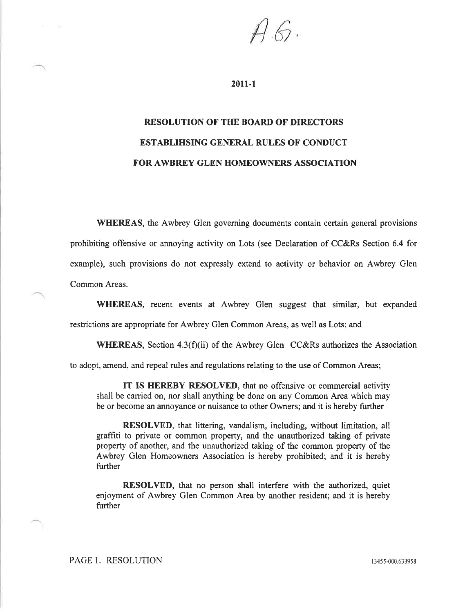$4\,$ 

20ll-1

# RESOLUTION OF THE BOARD OF DIRECTORS ESTABLIHSING GENERAL RULES OF CONDUCT FOR AWBREY GLEN HOMEOWNERS ASSOCIATION

WHEREAS, the Awbrey Glen governing documents contain certain general provisions prohibiting offensivc or annoying activity on Lots (see Declaration of CC&Rs Section 6.4 for example), such provisions do not expressly extend to activity or behavior on Awbrey Glen Common Areas.

WHEREAS, recent events at Awbrey Glen suggest that similar, but expanded restrictions are appropriate for Awbrey Glen Common Areas, as well as Lots; and

WHEREAS, Section 4.3(f)(ii) of the Awbrey Glen CC&Rs authorizes the Association

to adopt, amend, and repeal rules and regulations relating to the use of Common Areas;

IT IS HEREBY RESOLVED, that no offensive or commercial activity shall be carried on, nor shall anything be done on any Common Area which may be or become an annoyance or nuisance to other Owners; and it is hereby further

RESOLVED, that littering, vandalism, including, without limitation, all graffiti to private or common property, and the unauthorized taking of private property of another, and the unauthorized taking of the common property of the Awbrey Glen Homeowners Association is hereby prohibited; and it is hereby further

RESOLVED, that no person shall interfere with the authorized, quiet enjoyment of Awbrey Glen Common Area by another resident; and it is hereby further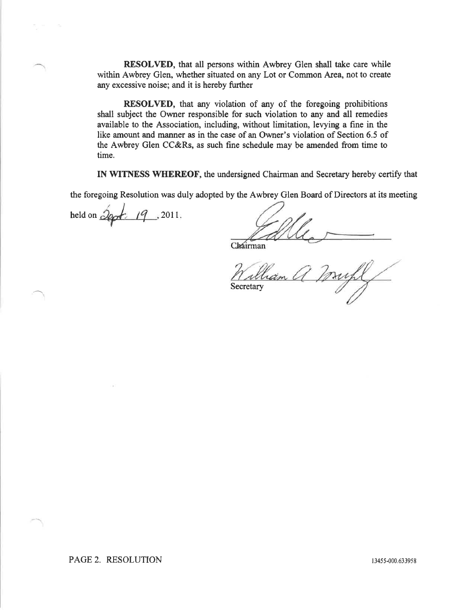RESOLVED, that all persons within Awbrey Glen shall take care while within Awbrey Glen, whether situated on any Lot or Common Area, not to create any excessive noise; and it is hereby further

RESOLVED, that any violation of any of the foregoing prohibitions shall subject the Owner responsible for such violation to any and all remedies available to the Association, including, without limitation, levying a fine in the like amount and manner as in the case of an Owner's violation of Section 6.5 of the Awbrey Glen CC&Rs, as such fine schedule may be amended from time to time.

IN WITNESS WHEREOF, the undersigned Chairman and Secretary hereby certify that

the foregoing Resolution was duly adopted by the Awbrey Glen Board of Directors at its meeting

held on  $\partial \varphi$ , 19, 2011.

Chairman

ham **Secretary**